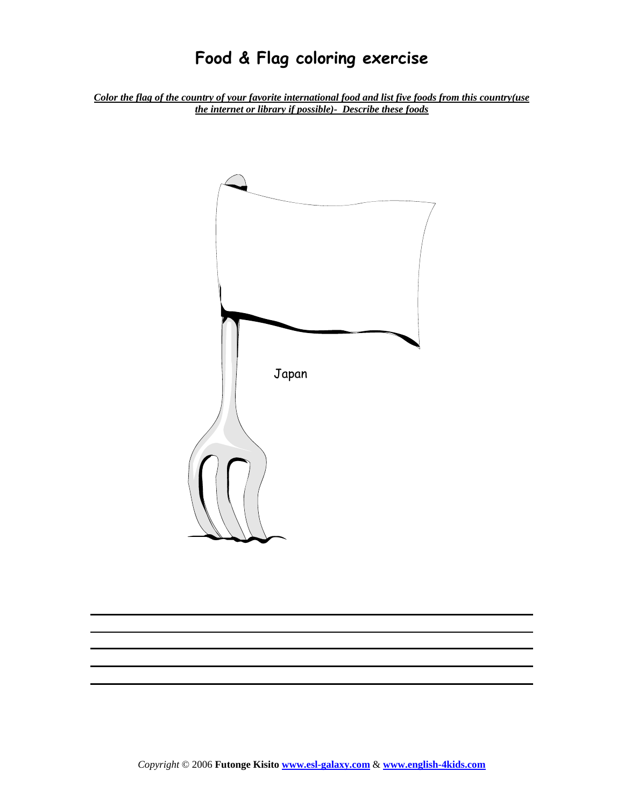*Color the flag of the country of your favorite international food and list five foods from this country(use the internet or library if possible)- Describe these foods*

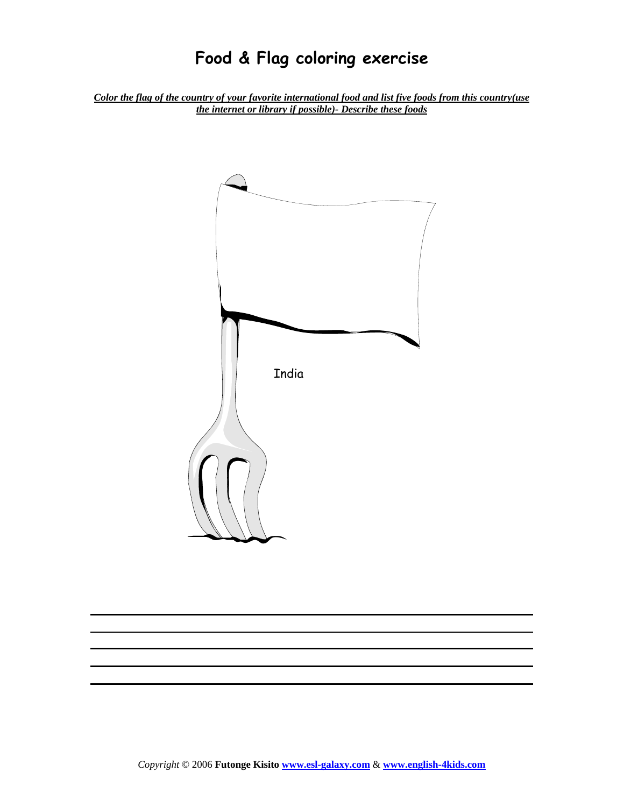*Color the flag of the country of your favorite international food and list five foods from this country(use the internet or library if possible)- Describe these foods* 

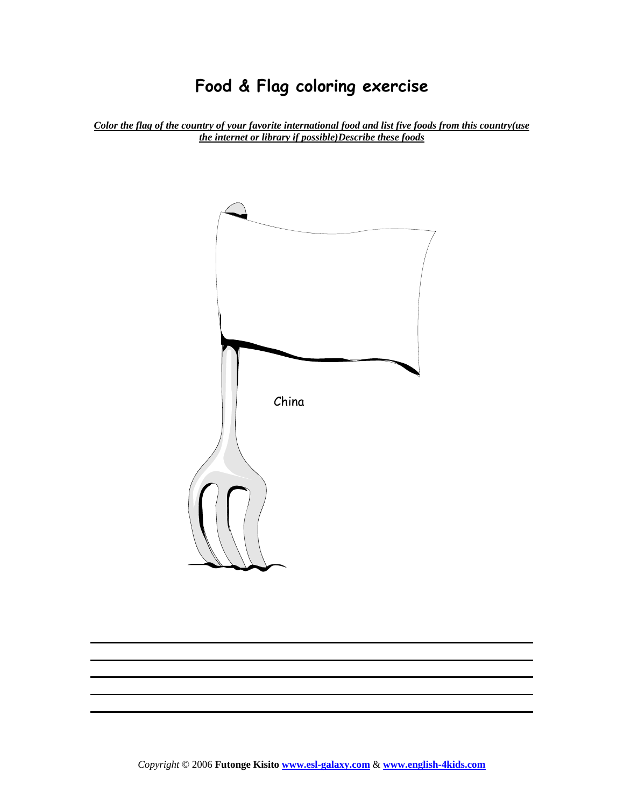*Color the flag of the country of your favorite international food and list five foods from this country(use the internet or library if possible)Describe these foods* 

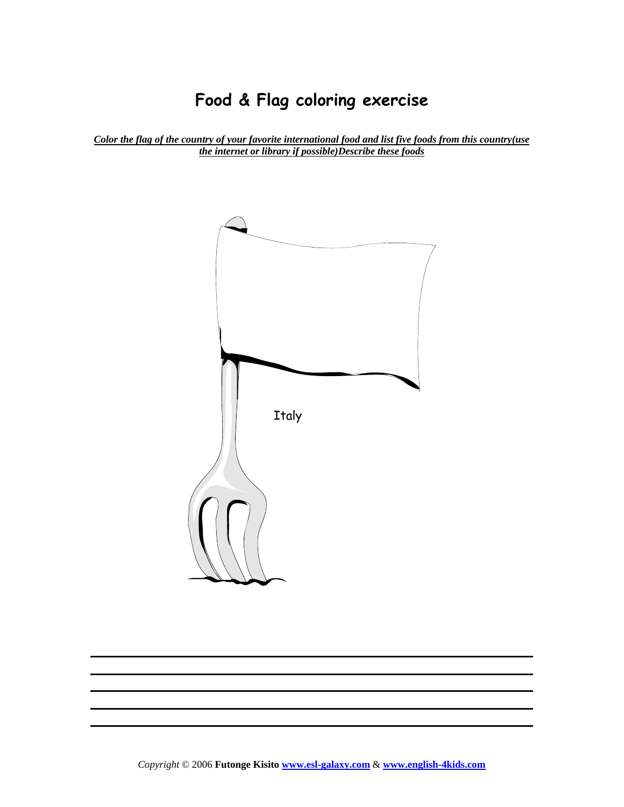*Color the flag of the country of your favorite international food and list five foods from this country(use the internet or library if possible)Describe these foods* 

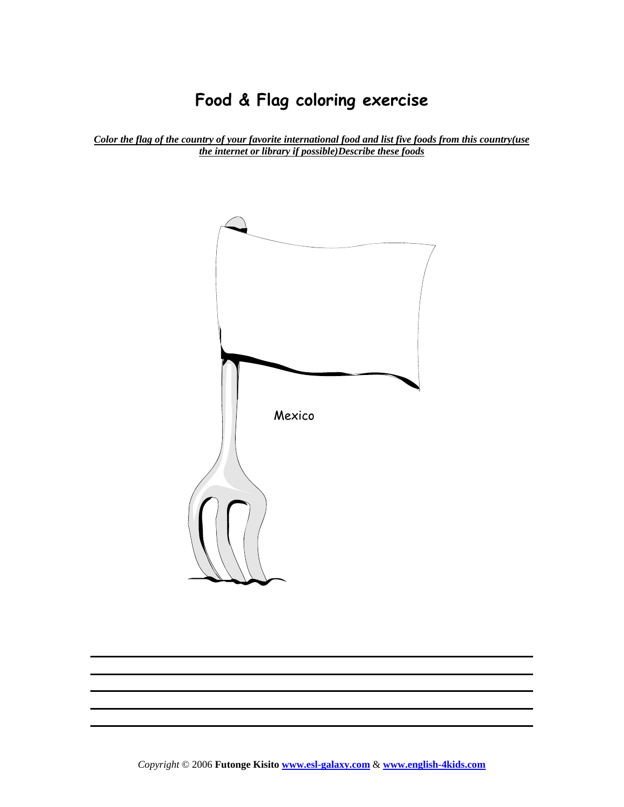*Color the flag of the country of your favorite international food and list five foods from this country(use the internet or library if possible)Describe these foods* 

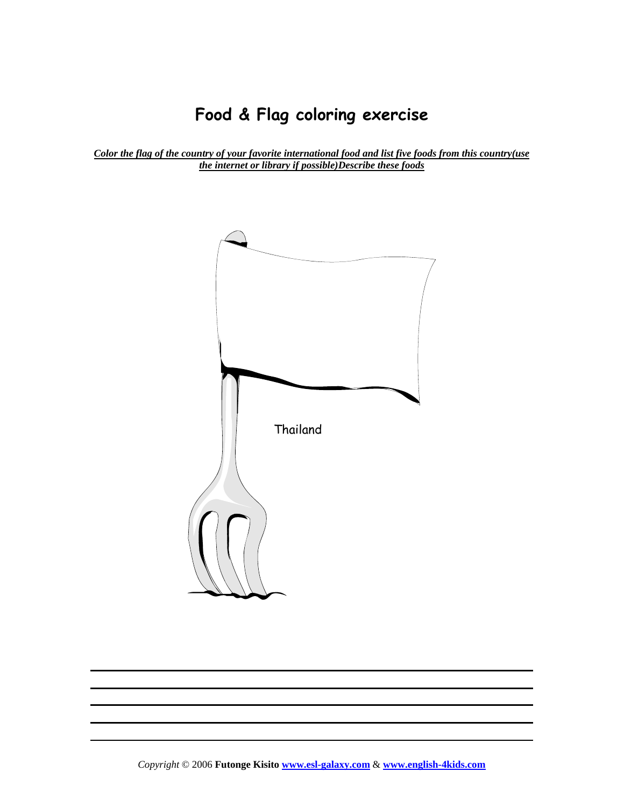*Color the flag of the country of your favorite international food and list five foods from this country(use the internet or library if possible)Describe these foods* 



*Copyright* © 2006 **Futonge Kisito www.esl-galaxy.com** & **www.english-4kids.com**